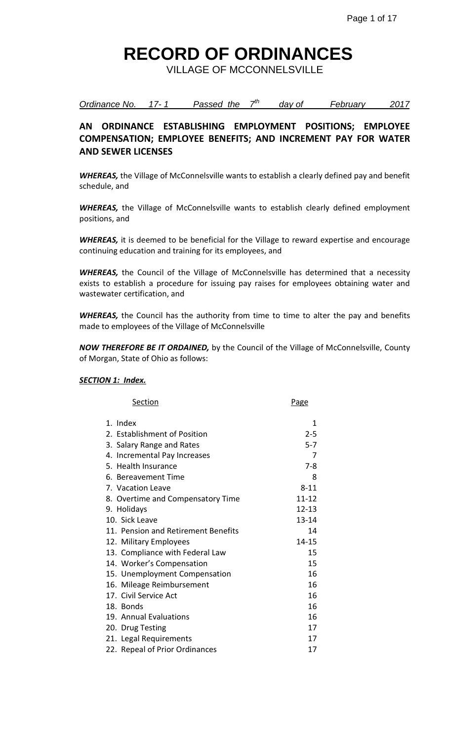VILLAGE OF MCCONNELSVILLE

*Ordinance No. 17- 1 Passed the 7 th day of February 2017*

### **AN ORDINANCE ESTABLISHING EMPLOYMENT POSITIONS; EMPLOYEE COMPENSATION; EMPLOYEE BENEFITS; AND INCREMENT PAY FOR WATER AND SEWER LICENSES**

*WHEREAS,* the Village of McConnelsville wants to establish a clearly defined pay and benefit schedule, and

*WHEREAS,* the Village of McConnelsville wants to establish clearly defined employment positions, and

*WHEREAS,* it is deemed to be beneficial for the Village to reward expertise and encourage continuing education and training for its employees, and

*WHEREAS,* the Council of the Village of McConnelsville has determined that a necessity exists to establish a procedure for issuing pay raises for employees obtaining water and wastewater certification, and

*WHEREAS,* the Council has the authority from time to time to alter the pay and benefits made to employees of the Village of McConnelsville

*NOW THEREFORE BE IT ORDAINED,* by the Council of the Village of McConnelsville, County of Morgan, State of Ohio as follows:

#### *SECTION 1: Index.*

| Section                             | Page      |
|-------------------------------------|-----------|
| 1. Index                            | 1         |
| 2. Establishment of Position        | $2 - 5$   |
| 3. Salary Range and Rates           | $5 - 7$   |
| 4. Incremental Pay Increases        | 7         |
| 5. Health Insurance                 | $7-8$     |
| 6. Bereavement Time                 | 8         |
| 7. Vacation Leave                   | $8 - 11$  |
| 8. Overtime and Compensatory Time   | $11 - 12$ |
| 9. Holidays                         | $12 - 13$ |
| 10. Sick Leave                      | $13 - 14$ |
| 11. Pension and Retirement Benefits | 14        |
| 12. Military Employees              | 14-15     |
| 13. Compliance with Federal Law     | 15        |
| 14. Worker's Compensation           | 15        |
| 15. Unemployment Compensation       | 16        |
| 16. Mileage Reimbursement           | 16        |
| 17. Civil Service Act               | 16        |
| 18. Bonds                           | 16        |
| 19. Annual Evaluations              | 16        |
| 20. Drug Testing                    | 17        |
| 21. Legal Requirements              | 17        |
| 22. Repeal of Prior Ordinances      | 17        |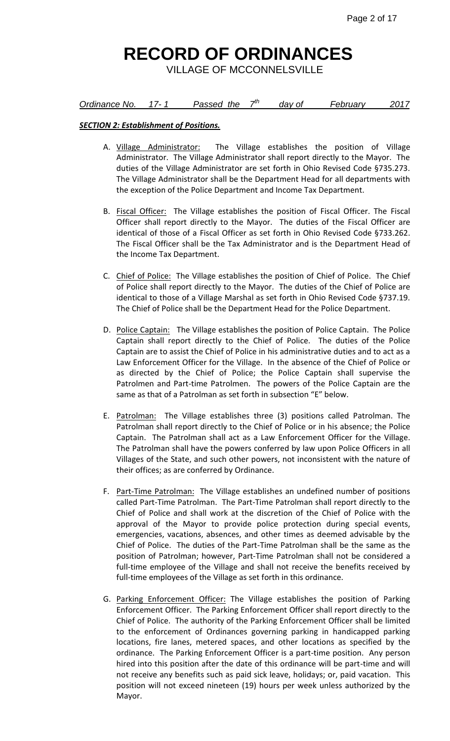VILLAGE OF MCCONNELSVILLE

#### *<u>Ordinance No. 17-1</u>* Passed the 7<sup>th</sup>  *day of February 2017*

#### *SECTION 2: Establishment of Positions.*

- A. Village Administrator: The Village establishes the position of Village Administrator. The Village Administrator shall report directly to the Mayor. The duties of the Village Administrator are set forth in Ohio Revised Code §735.273. The Village Administrator shall be the Department Head for all departments with the exception of the Police Department and Income Tax Department.
- B. Fiscal Officer: The Village establishes the position of Fiscal Officer. The Fiscal Officer shall report directly to the Mayor. The duties of the Fiscal Officer are identical of those of a Fiscal Officer as set forth in Ohio Revised Code §733.262. The Fiscal Officer shall be the Tax Administrator and is the Department Head of the Income Tax Department.
- C. Chief of Police: The Village establishes the position of Chief of Police. The Chief of Police shall report directly to the Mayor. The duties of the Chief of Police are identical to those of a Village Marshal as set forth in Ohio Revised Code §737.19. The Chief of Police shall be the Department Head for the Police Department.
- D. Police Captain: The Village establishes the position of Police Captain. The Police Captain shall report directly to the Chief of Police. The duties of the Police Captain are to assist the Chief of Police in his administrative duties and to act as a Law Enforcement Officer for the Village. In the absence of the Chief of Police or as directed by the Chief of Police; the Police Captain shall supervise the Patrolmen and Part-time Patrolmen. The powers of the Police Captain are the same as that of a Patrolman as set forth in subsection "E" below.
- E. Patrolman: The Village establishes three (3) positions called Patrolman. The Patrolman shall report directly to the Chief of Police or in his absence; the Police Captain. The Patrolman shall act as a Law Enforcement Officer for the Village. The Patrolman shall have the powers conferred by law upon Police Officers in all Villages of the State, and such other powers, not inconsistent with the nature of their offices; as are conferred by Ordinance.
- F. Part-Time Patrolman: The Village establishes an undefined number of positions called Part-Time Patrolman. The Part-Time Patrolman shall report directly to the Chief of Police and shall work at the discretion of the Chief of Police with the approval of the Mayor to provide police protection during special events, emergencies, vacations, absences, and other times as deemed advisable by the Chief of Police. The duties of the Part-Time Patrolman shall be the same as the position of Patrolman; however, Part-Time Patrolman shall not be considered a full-time employee of the Village and shall not receive the benefits received by full-time employees of the Village as set forth in this ordinance.
- G. Parking Enforcement Officer: The Village establishes the position of Parking Enforcement Officer. The Parking Enforcement Officer shall report directly to the Chief of Police. The authority of the Parking Enforcement Officer shall be limited to the enforcement of Ordinances governing parking in handicapped parking locations, fire lanes, metered spaces, and other locations as specified by the ordinance. The Parking Enforcement Officer is a part-time position. Any person hired into this position after the date of this ordinance will be part-time and will not receive any benefits such as paid sick leave, holidays; or, paid vacation. This position will not exceed nineteen (19) hours per week unless authorized by the Mayor.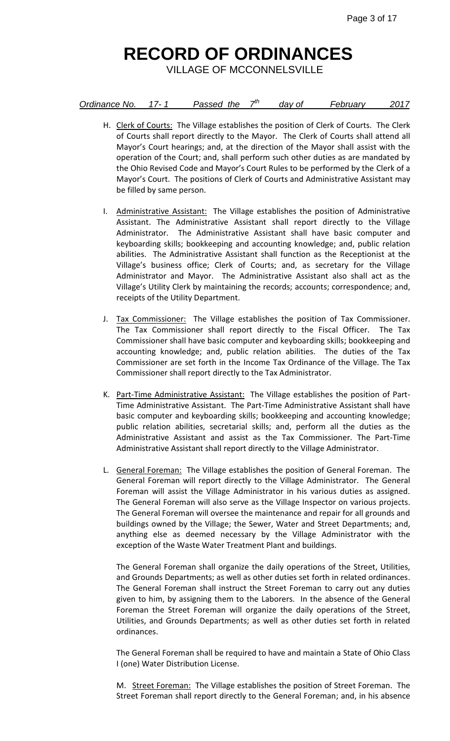VILLAGE OF MCCONNELSVILLE

| Ordinance No. |  | Passed the | − | dav of | <b>February</b> |  |
|---------------|--|------------|---|--------|-----------------|--|
|---------------|--|------------|---|--------|-----------------|--|

- H. Clerk of Courts: The Village establishes the position of Clerk of Courts. The Clerk of Courts shall report directly to the Mayor. The Clerk of Courts shall attend all Mayor's Court hearings; and, at the direction of the Mayor shall assist with the operation of the Court; and, shall perform such other duties as are mandated by the Ohio Revised Code and Mayor's Court Rules to be performed by the Clerk of a Mayor's Court. The positions of Clerk of Courts and Administrative Assistant may be filled by same person.
- I. Administrative Assistant: The Village establishes the position of Administrative Assistant. The Administrative Assistant shall report directly to the Village Administrator. The Administrative Assistant shall have basic computer and keyboarding skills; bookkeeping and accounting knowledge; and, public relation abilities. The Administrative Assistant shall function as the Receptionist at the Village's business office; Clerk of Courts; and, as secretary for the Village Administrator and Mayor. The Administrative Assistant also shall act as the Village's Utility Clerk by maintaining the records; accounts; correspondence; and, receipts of the Utility Department.
- J. Tax Commissioner: The Village establishes the position of Tax Commissioner. The Tax Commissioner shall report directly to the Fiscal Officer. The Tax Commissioner shall have basic computer and keyboarding skills; bookkeeping and accounting knowledge; and, public relation abilities. The duties of the Tax Commissioner are set forth in the Income Tax Ordinance of the Village. The Tax Commissioner shall report directly to the Tax Administrator.
- K. Part-Time Administrative Assistant: The Village establishes the position of Part-Time Administrative Assistant. The Part-Time Administrative Assistant shall have basic computer and keyboarding skills; bookkeeping and accounting knowledge; public relation abilities, secretarial skills; and, perform all the duties as the Administrative Assistant and assist as the Tax Commissioner. The Part-Time Administrative Assistant shall report directly to the Village Administrator.
- L. General Foreman: The Village establishes the position of General Foreman. The General Foreman will report directly to the Village Administrator. The General Foreman will assist the Village Administrator in his various duties as assigned. The General Foreman will also serve as the Village Inspector on various projects. The General Foreman will oversee the maintenance and repair for all grounds and buildings owned by the Village; the Sewer, Water and Street Departments; and, anything else as deemed necessary by the Village Administrator with the exception of the Waste Water Treatment Plant and buildings.

The General Foreman shall organize the daily operations of the Street, Utilities, and Grounds Departments; as well as other duties set forth in related ordinances. The General Foreman shall instruct the Street Foreman to carry out any duties given to him, by assigning them to the Laborers. In the absence of the General Foreman the Street Foreman will organize the daily operations of the Street, Utilities, and Grounds Departments; as well as other duties set forth in related ordinances.

The General Foreman shall be required to have and maintain a State of Ohio Class I (one) Water Distribution License.

M. Street Foreman: The Village establishes the position of Street Foreman. The Street Foreman shall report directly to the General Foreman; and, in his absence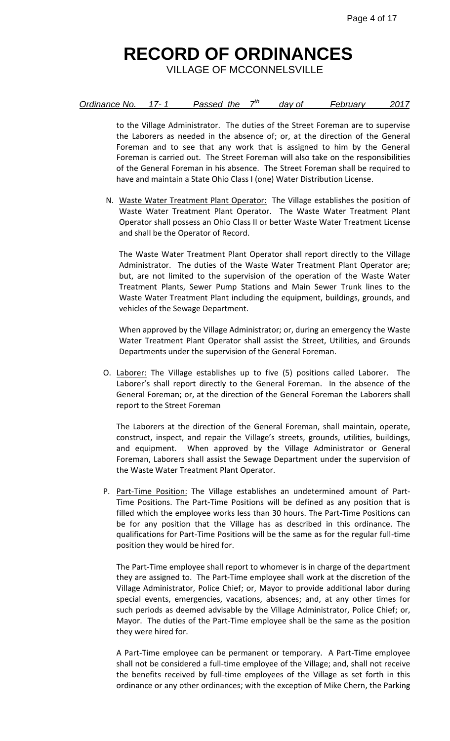VILLAGE OF MCCONNELSVILLE

| Ordinance No.<br>Passed the<br>Februarv<br>dav of |
|---------------------------------------------------|
|---------------------------------------------------|

to the Village Administrator. The duties of the Street Foreman are to supervise the Laborers as needed in the absence of; or, at the direction of the General Foreman and to see that any work that is assigned to him by the General Foreman is carried out. The Street Foreman will also take on the responsibilities of the General Foreman in his absence. The Street Foreman shall be required to have and maintain a State Ohio Class I (one) Water Distribution License.

N. Waste Water Treatment Plant Operator: The Village establishes the position of Waste Water Treatment Plant Operator. The Waste Water Treatment Plant Operator shall possess an Ohio Class II or better Waste Water Treatment License and shall be the Operator of Record.

The Waste Water Treatment Plant Operator shall report directly to the Village Administrator. The duties of the Waste Water Treatment Plant Operator are; but, are not limited to the supervision of the operation of the Waste Water Treatment Plants, Sewer Pump Stations and Main Sewer Trunk lines to the Waste Water Treatment Plant including the equipment, buildings, grounds, and vehicles of the Sewage Department.

When approved by the Village Administrator; or, during an emergency the Waste Water Treatment Plant Operator shall assist the Street, Utilities, and Grounds Departments under the supervision of the General Foreman.

O. Laborer: The Village establishes up to five (5) positions called Laborer. The Laborer's shall report directly to the General Foreman. In the absence of the General Foreman; or, at the direction of the General Foreman the Laborers shall report to the Street Foreman

The Laborers at the direction of the General Foreman, shall maintain, operate, construct, inspect, and repair the Village's streets, grounds, utilities, buildings, and equipment. When approved by the Village Administrator or General Foreman, Laborers shall assist the Sewage Department under the supervision of the Waste Water Treatment Plant Operator.

P. Part-Time Position: The Village establishes an undetermined amount of Part-Time Positions. The Part-Time Positions will be defined as any position that is filled which the employee works less than 30 hours. The Part-Time Positions can be for any position that the Village has as described in this ordinance. The qualifications for Part-Time Positions will be the same as for the regular full-time position they would be hired for.

The Part-Time employee shall report to whomever is in charge of the department they are assigned to. The Part-Time employee shall work at the discretion of the Village Administrator, Police Chief; or, Mayor to provide additional labor during special events, emergencies, vacations, absences; and, at any other times for such periods as deemed advisable by the Village Administrator, Police Chief; or, Mayor. The duties of the Part-Time employee shall be the same as the position they were hired for.

A Part-Time employee can be permanent or temporary. A Part-Time employee shall not be considered a full-time employee of the Village; and, shall not receive the benefits received by full-time employees of the Village as set forth in this ordinance or any other ordinances; with the exception of Mike Chern, the Parking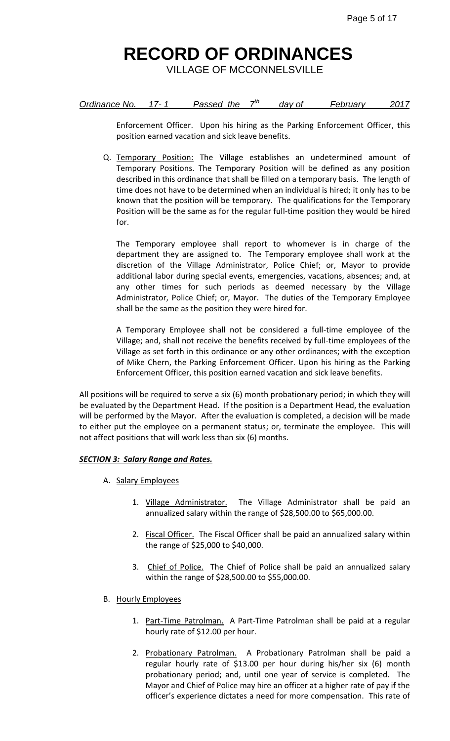VILLAGE OF MCCONNELSVILLE

| Ordinance No. | Passed the | dav of | Februarv |  |
|---------------|------------|--------|----------|--|
|---------------|------------|--------|----------|--|

Enforcement Officer. Upon his hiring as the Parking Enforcement Officer, this position earned vacation and sick leave benefits.

Q. Temporary Position: The Village establishes an undetermined amount of Temporary Positions. The Temporary Position will be defined as any position described in this ordinance that shall be filled on a temporary basis. The length of time does not have to be determined when an individual is hired; it only has to be known that the position will be temporary. The qualifications for the Temporary Position will be the same as for the regular full-time position they would be hired for.

The Temporary employee shall report to whomever is in charge of the department they are assigned to. The Temporary employee shall work at the discretion of the Village Administrator, Police Chief; or, Mayor to provide additional labor during special events, emergencies, vacations, absences; and, at any other times for such periods as deemed necessary by the Village Administrator, Police Chief; or, Mayor. The duties of the Temporary Employee shall be the same as the position they were hired for.

A Temporary Employee shall not be considered a full-time employee of the Village; and, shall not receive the benefits received by full-time employees of the Village as set forth in this ordinance or any other ordinances; with the exception of Mike Chern, the Parking Enforcement Officer. Upon his hiring as the Parking Enforcement Officer, this position earned vacation and sick leave benefits.

All positions will be required to serve a six (6) month probationary period; in which they will be evaluated by the Department Head. If the position is a Department Head, the evaluation will be performed by the Mayor. After the evaluation is completed, a decision will be made to either put the employee on a permanent status; or, terminate the employee. This will not affect positions that will work less than six (6) months.

### *SECTION 3: Salary Range and Rates.*

- A. Salary Employees
	- 1. Village Administrator. The Village Administrator shall be paid an annualized salary within the range of \$28,500.00 to \$65,000.00.
	- 2. Fiscal Officer. The Fiscal Officer shall be paid an annualized salary within the range of \$25,000 to \$40,000.
	- 3. Chief of Police. The Chief of Police shall be paid an annualized salary within the range of \$28,500.00 to \$55,000.00.
- B. Hourly Employees
	- 1. Part-Time Patrolman. A Part-Time Patrolman shall be paid at a regular hourly rate of \$12.00 per hour.
	- 2. Probationary Patrolman. A Probationary Patrolman shall be paid a regular hourly rate of \$13.00 per hour during his/her six (6) month probationary period; and, until one year of service is completed. The Mayor and Chief of Police may hire an officer at a higher rate of pay if the officer's experience dictates a need for more compensation. This rate of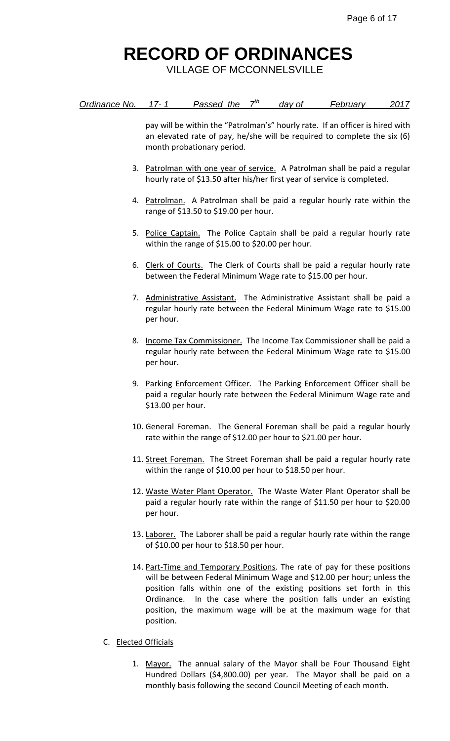VILLAGE OF MCCONNELSVILLE

| Ordinance No.<br>2017<br>February<br>Passed the<br>dav of |
|-----------------------------------------------------------|
|-----------------------------------------------------------|

pay will be within the "Patrolman's" hourly rate. If an officer is hired with an elevated rate of pay, he/she will be required to complete the six (6) month probationary period.

- 3. Patrolman with one year of service. A Patrolman shall be paid a regular hourly rate of \$13.50 after his/her first year of service is completed.
- 4. Patrolman. A Patrolman shall be paid a regular hourly rate within the range of \$13.50 to \$19.00 per hour.
- 5. Police Captain. The Police Captain shall be paid a regular hourly rate within the range of \$15.00 to \$20.00 per hour.
- 6. Clerk of Courts. The Clerk of Courts shall be paid a regular hourly rate between the Federal Minimum Wage rate to \$15.00 per hour.
- 7. Administrative Assistant. The Administrative Assistant shall be paid a regular hourly rate between the Federal Minimum Wage rate to \$15.00 per hour.
- 8. Income Tax Commissioner. The Income Tax Commissioner shall be paid a regular hourly rate between the Federal Minimum Wage rate to \$15.00 per hour.
- 9. Parking Enforcement Officer. The Parking Enforcement Officer shall be paid a regular hourly rate between the Federal Minimum Wage rate and \$13.00 per hour.
- 10. General Foreman. The General Foreman shall be paid a regular hourly rate within the range of \$12.00 per hour to \$21.00 per hour.
- 11. Street Foreman. The Street Foreman shall be paid a regular hourly rate within the range of \$10.00 per hour to \$18.50 per hour.
- 12. Waste Water Plant Operator. The Waste Water Plant Operator shall be paid a regular hourly rate within the range of \$11.50 per hour to \$20.00 per hour.
- 13. Laborer. The Laborer shall be paid a regular hourly rate within the range of \$10.00 per hour to \$18.50 per hour.
- 14. Part-Time and Temporary Positions. The rate of pay for these positions will be between Federal Minimum Wage and \$12.00 per hour; unless the position falls within one of the existing positions set forth in this Ordinance. In the case where the position falls under an existing position, the maximum wage will be at the maximum wage for that position.
- C. Elected Officials
	- 1. Mayor. The annual salary of the Mayor shall be Four Thousand Eight Hundred Dollars (\$4,800.00) per year. The Mayor shall be paid on a monthly basis following the second Council Meeting of each month.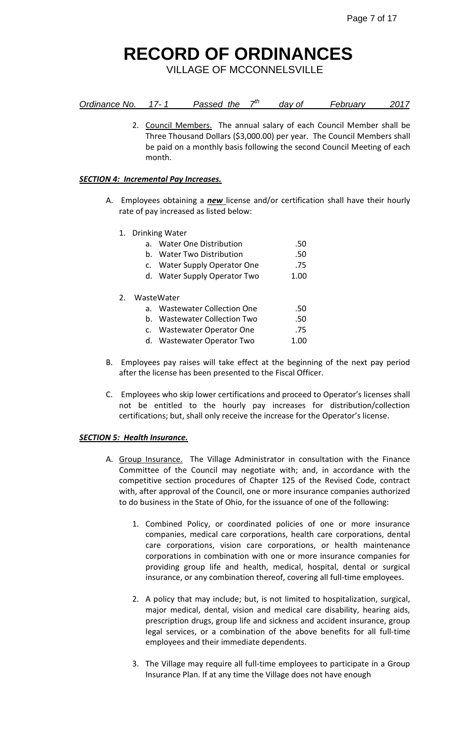VILLAGE OF MCCONNELSVILLE

| Ordinance No. |  | Passed the | − | dav of | February |  |
|---------------|--|------------|---|--------|----------|--|
|---------------|--|------------|---|--------|----------|--|

2. Council Members. The annual salary of each Council Member shall be Three Thousand Dollars (\$3,000.00) per year. The Council Members shall be paid on a monthly basis following the second Council Meeting of each month.

#### *SECTION 4: Incremental Pay Increases.*

- A. Employees obtaining a *new* license and/or certification shall have their hourly rate of pay increased as listed below:
	- 1. Drinking Water

|    | $a_{\cdot}$ | <b>Water One Distribution</b>    | .50  |
|----|-------------|----------------------------------|------|
|    | h.          | Water Two Distribution           | .50  |
|    |             | c. Water Supply Operator One     | .75  |
|    |             | d. Water Supply Operator Two     | 1.00 |
| 2. |             | WasteWater                       |      |
|    |             | <b>Wastewater Collection One</b> | .50  |
|    | b.          | <b>Wastewater Collection Two</b> | .50  |
|    |             |                                  |      |

- c. Wastewater Operator One .75 d. Wastewater Operator Two 1.00
- B. Employees pay raises will take effect at the beginning of the next pay period after the license has been presented to the Fiscal Officer.
- C. Employees who skip lower certifications and proceed to Operator's licenses shall not be entitled to the hourly pay increases for distribution/collection certifications; but, shall only receive the increase for the Operator's license.

#### *SECTION 5: Health Insurance.*

- A. Group Insurance. The Village Administrator in consultation with the Finance Committee of the Council may negotiate with; and, in accordance with the competitive section procedures of Chapter 125 of the Revised Code, contract with, after approval of the Council, one or more insurance companies authorized to do business in the State of Ohio, for the issuance of one of the following:
	- 1. Combined Policy, or coordinated policies of one or more insurance companies, medical care corporations, health care corporations, dental care corporations, vision care corporations, or health maintenance corporations in combination with one or more insurance companies for providing group life and health, medical, hospital, dental or surgical insurance, or any combination thereof, covering all full-time employees.
	- 2. A policy that may include; but, is not limited to hospitalization, surgical, major medical, dental, vision and medical care disability, hearing aids, prescription drugs, group life and sickness and accident insurance, group legal services, or a combination of the above benefits for all full-time employees and their immediate dependents.
	- 3. The Village may require all full-time employees to participate in a Group Insurance Plan. If at any time the Village does not have enough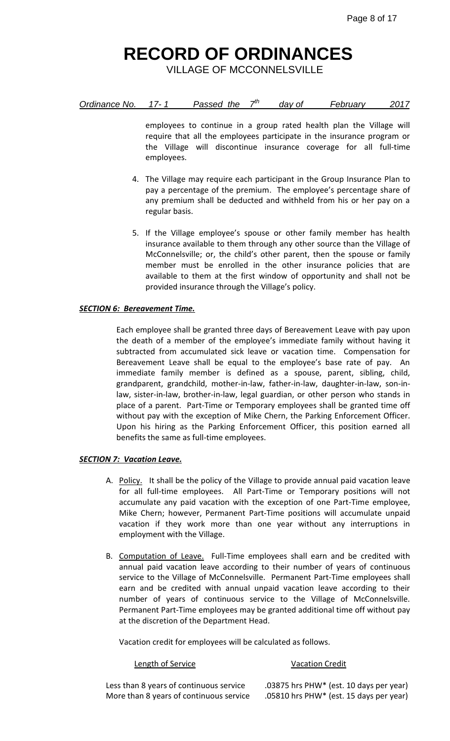VILLAGE OF MCCONNELSVILLE

| Ordinance No.<br>⇥<br>Passed the<br>dav of | <b>February</b> |  |
|--------------------------------------------|-----------------|--|
|--------------------------------------------|-----------------|--|

employees to continue in a group rated health plan the Village will require that all the employees participate in the insurance program or the Village will discontinue insurance coverage for all full-time employees.

- 4. The Village may require each participant in the Group Insurance Plan to pay a percentage of the premium. The employee's percentage share of any premium shall be deducted and withheld from his or her pay on a regular basis.
- 5. If the Village employee's spouse or other family member has health insurance available to them through any other source than the Village of McConnelsville; or, the child's other parent, then the spouse or family member must be enrolled in the other insurance policies that are available to them at the first window of opportunity and shall not be provided insurance through the Village's policy.

#### *SECTION 6: Bereavement Time.*

Each employee shall be granted three days of Bereavement Leave with pay upon the death of a member of the employee's immediate family without having it subtracted from accumulated sick leave or vacation time. Compensation for Bereavement Leave shall be equal to the employee's base rate of pay. An immediate family member is defined as a spouse, parent, sibling, child, grandparent, grandchild, mother-in-law, father-in-law, daughter-in-law, son-inlaw, sister-in-law, brother-in-law, legal guardian, or other person who stands in place of a parent. Part-Time or Temporary employees shall be granted time off without pay with the exception of Mike Chern, the Parking Enforcement Officer. Upon his hiring as the Parking Enforcement Officer, this position earned all benefits the same as full-time employees.

#### *SECTION 7: Vacation Leave.*

- A. Policy. It shall be the policy of the Village to provide annual paid vacation leave for all full-time employees. All Part-Time or Temporary positions will not accumulate any paid vacation with the exception of one Part-Time employee, Mike Chern; however, Permanent Part-Time positions will accumulate unpaid vacation if they work more than one year without any interruptions in employment with the Village.
- B. Computation of Leave. Full-Time employees shall earn and be credited with annual paid vacation leave according to their number of years of continuous service to the Village of McConnelsville. Permanent Part-Time employees shall earn and be credited with annual unpaid vacation leave according to their number of years of continuous service to the Village of McConnelsville. Permanent Part-Time employees may be granted additional time off without pay at the discretion of the Department Head.

Vacation credit for employees will be calculated as follows.

#### Length of Service Vacation Credit

More than 8 years of continuous service .05810 hrs PHW\* (est. 15 days per year)

Less than 8 years of continuous service .03875 hrs PHW\* (est. 10 days per year)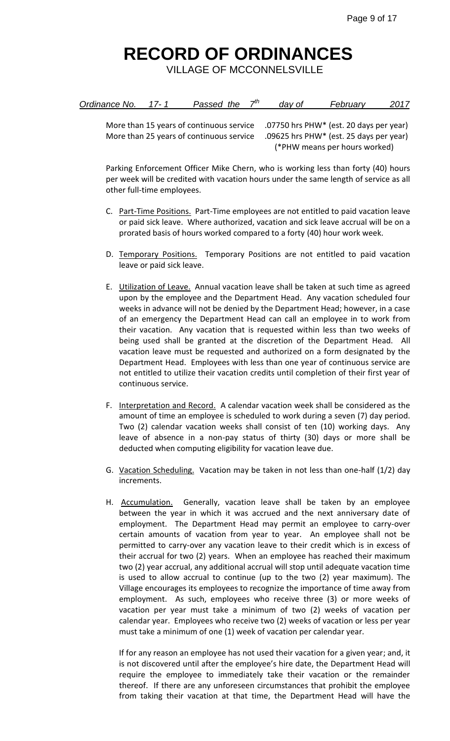VILLAGE OF MCCONNELSVILLE

| Ordinance No.<br>Passed the | 2017<br>February<br>dav of |
|-----------------------------|----------------------------|
|-----------------------------|----------------------------|

More than 15 years of continuous service .07750 hrs PHW\* (est. 20 days per year) More than 25 years of continuous service .09625 hrs PHW\* (est. 25 days per year) (\*PHW means per hours worked)

Parking Enforcement Officer Mike Chern, who is working less than forty (40) hours per week will be credited with vacation hours under the same length of service as all other full-time employees.

- C. Part-Time Positions. Part-Time employees are not entitled to paid vacation leave or paid sick leave. Where authorized, vacation and sick leave accrual will be on a prorated basis of hours worked compared to a forty (40) hour work week.
- D. Temporary Positions. Temporary Positions are not entitled to paid vacation leave or paid sick leave.
- E. Utilization of Leave. Annual vacation leave shall be taken at such time as agreed upon by the employee and the Department Head. Any vacation scheduled four weeks in advance will not be denied by the Department Head; however, in a case of an emergency the Department Head can call an employee in to work from their vacation. Any vacation that is requested within less than two weeks of being used shall be granted at the discretion of the Department Head. All vacation leave must be requested and authorized on a form designated by the Department Head. Employees with less than one year of continuous service are not entitled to utilize their vacation credits until completion of their first year of continuous service.
- F. Interpretation and Record. A calendar vacation week shall be considered as the amount of time an employee is scheduled to work during a seven (7) day period. Two (2) calendar vacation weeks shall consist of ten (10) working days. Any leave of absence in a non-pay status of thirty (30) days or more shall be deducted when computing eligibility for vacation leave due.
- G. Vacation Scheduling. Vacation may be taken in not less than one-half (1/2) day increments.
- H. Accumulation. Generally, vacation leave shall be taken by an employee between the year in which it was accrued and the next anniversary date of employment. The Department Head may permit an employee to carry-over certain amounts of vacation from year to year. An employee shall not be permitted to carry-over any vacation leave to their credit which is in excess of their accrual for two (2) years. When an employee has reached their maximum two (2) year accrual, any additional accrual will stop until adequate vacation time is used to allow accrual to continue (up to the two (2) year maximum). The Village encourages its employees to recognize the importance of time away from employment. As such, employees who receive three (3) or more weeks of vacation per year must take a minimum of two (2) weeks of vacation per calendar year. Employees who receive two (2) weeks of vacation or less per year must take a minimum of one (1) week of vacation per calendar year.

If for any reason an employee has not used their vacation for a given year; and, it is not discovered until after the employee's hire date, the Department Head will require the employee to immediately take their vacation or the remainder thereof. If there are any unforeseen circumstances that prohibit the employee from taking their vacation at that time, the Department Head will have the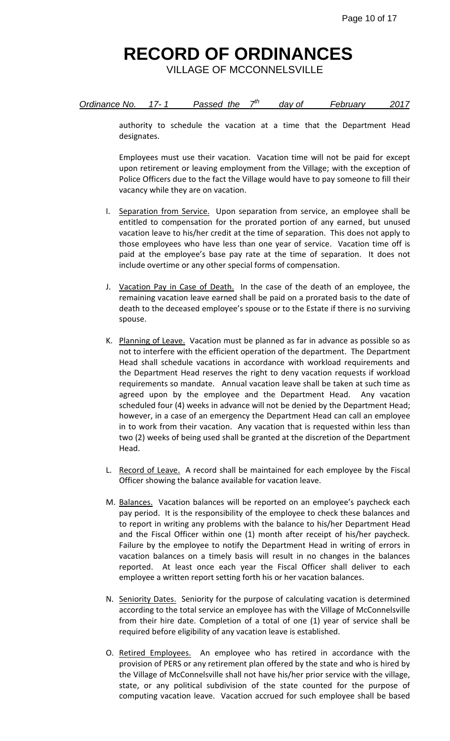VILLAGE OF MCCONNELSVILLE

| Ordinance No.<br>Passed the |  | dav of | February | 2017 |
|-----------------------------|--|--------|----------|------|
|-----------------------------|--|--------|----------|------|

authority to schedule the vacation at a time that the Department Head designates.

Employees must use their vacation. Vacation time will not be paid for except upon retirement or leaving employment from the Village; with the exception of Police Officers due to the fact the Village would have to pay someone to fill their vacancy while they are on vacation.

- I. Separation from Service. Upon separation from service, an employee shall be entitled to compensation for the prorated portion of any earned, but unused vacation leave to his/her credit at the time of separation. This does not apply to those employees who have less than one year of service. Vacation time off is paid at the employee's base pay rate at the time of separation. It does not include overtime or any other special forms of compensation.
- J. Vacation Pay in Case of Death. In the case of the death of an employee, the remaining vacation leave earned shall be paid on a prorated basis to the date of death to the deceased employee's spouse or to the Estate if there is no surviving spouse.
- K. Planning of Leave. Vacation must be planned as far in advance as possible so as not to interfere with the efficient operation of the department. The Department Head shall schedule vacations in accordance with workload requirements and the Department Head reserves the right to deny vacation requests if workload requirements so mandate. Annual vacation leave shall be taken at such time as agreed upon by the employee and the Department Head. Any vacation scheduled four (4) weeks in advance will not be denied by the Department Head; however, in a case of an emergency the Department Head can call an employee in to work from their vacation. Any vacation that is requested within less than two (2) weeks of being used shall be granted at the discretion of the Department Head.
- L. Record of Leave. A record shall be maintained for each employee by the Fiscal Officer showing the balance available for vacation leave.
- M. Balances. Vacation balances will be reported on an employee's paycheck each pay period. It is the responsibility of the employee to check these balances and to report in writing any problems with the balance to his/her Department Head and the Fiscal Officer within one (1) month after receipt of his/her paycheck. Failure by the employee to notify the Department Head in writing of errors in vacation balances on a timely basis will result in no changes in the balances reported. At least once each year the Fiscal Officer shall deliver to each employee a written report setting forth his or her vacation balances.
- N. Seniority Dates. Seniority for the purpose of calculating vacation is determined according to the total service an employee has with the Village of McConnelsville from their hire date. Completion of a total of one (1) year of service shall be required before eligibility of any vacation leave is established.
- O. Retired Employees. An employee who has retired in accordance with the provision of PERS or any retirement plan offered by the state and who is hired by the Village of McConnelsville shall not have his/her prior service with the village, state, or any political subdivision of the state counted for the purpose of computing vacation leave. Vacation accrued for such employee shall be based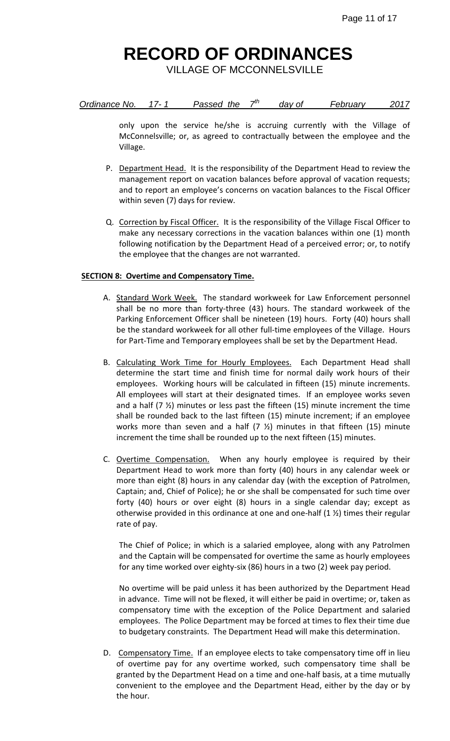VILLAGE OF MCCONNELSVILLE

| Ordinance No. | Passed the | dav of | Februarv |  |
|---------------|------------|--------|----------|--|
|---------------|------------|--------|----------|--|

only upon the service he/she is accruing currently with the Village of McConnelsville; or, as agreed to contractually between the employee and the Village.

- P. Department Head. It is the responsibility of the Department Head to review the management report on vacation balances before approval of vacation requests; and to report an employee's concerns on vacation balances to the Fiscal Officer within seven (7) days for review.
- Q. Correction by Fiscal Officer. It is the responsibility of the Village Fiscal Officer to make any necessary corrections in the vacation balances within one (1) month following notification by the Department Head of a perceived error; or, to notify the employee that the changes are not warranted.

#### **SECTION 8: Overtime and Compensatory Time.**

- A. Standard Work Week. The standard workweek for Law Enforcement personnel shall be no more than forty-three (43) hours. The standard workweek of the Parking Enforcement Officer shall be nineteen (19) hours. Forty (40) hours shall be the standard workweek for all other full-time employees of the Village. Hours for Part-Time and Temporary employees shall be set by the Department Head.
- B. Calculating Work Time for Hourly Employees. Each Department Head shall determine the start time and finish time for normal daily work hours of their employees. Working hours will be calculated in fifteen (15) minute increments. All employees will start at their designated times. If an employee works seven and a half  $(7 \frac{1}{2})$  minutes or less past the fifteen (15) minute increment the time shall be rounded back to the last fifteen (15) minute increment; if an employee works more than seven and a half (7  $\frac{1}{2}$ ) minutes in that fifteen (15) minute increment the time shall be rounded up to the next fifteen (15) minutes.
- C. Overtime Compensation. When any hourly employee is required by their Department Head to work more than forty (40) hours in any calendar week or more than eight (8) hours in any calendar day (with the exception of Patrolmen, Captain; and, Chief of Police); he or she shall be compensated for such time over forty (40) hours or over eight (8) hours in a single calendar day; except as otherwise provided in this ordinance at one and one-half  $(1 \frac{1}{2})$  times their regular rate of pay.

The Chief of Police; in which is a salaried employee, along with any Patrolmen and the Captain will be compensated for overtime the same as hourly employees for any time worked over eighty-six (86) hours in a two (2) week pay period.

No overtime will be paid unless it has been authorized by the Department Head in advance. Time will not be flexed, it will either be paid in overtime; or, taken as compensatory time with the exception of the Police Department and salaried employees. The Police Department may be forced at times to flex their time due to budgetary constraints. The Department Head will make this determination.

D. Compensatory Time. If an employee elects to take compensatory time off in lieu of overtime pay for any overtime worked, such compensatory time shall be granted by the Department Head on a time and one-half basis, at a time mutually convenient to the employee and the Department Head, either by the day or by the hour.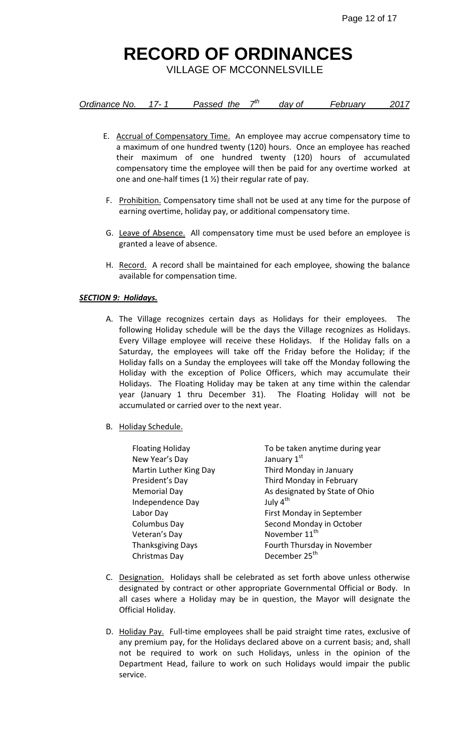VILLAGE OF MCCONNELSVILLE

| Ordinance No. |  | Passed the | − | dav of | <b>February</b> |  |
|---------------|--|------------|---|--------|-----------------|--|
|---------------|--|------------|---|--------|-----------------|--|

- E. Accrual of Compensatory Time. An employee may accrue compensatory time to a maximum of one hundred twenty (120) hours. Once an employee has reached their maximum of one hundred twenty (120) hours of accumulated compensatory time the employee will then be paid for any overtime worked at one and one-half times (1 ½) their regular rate of pay.
- F. Prohibition. Compensatory time shall not be used at any time for the purpose of earning overtime, holiday pay, or additional compensatory time.
- G. Leave of Absence. All compensatory time must be used before an employee is granted a leave of absence.
- H. Record. A record shall be maintained for each employee, showing the balance available for compensation time.

#### *SECTION 9: Holidays.*

- A. The Village recognizes certain days as Holidays for their employees. The following Holiday schedule will be the days the Village recognizes as Holidays. Every Village employee will receive these Holidays. If the Holiday falls on a Saturday, the employees will take off the Friday before the Holiday; if the Holiday falls on a Sunday the employees will take off the Monday following the Holiday with the exception of Police Officers, which may accumulate their Holidays. The Floating Holiday may be taken at any time within the calendar year (January 1 thru December 31). The Floating Holiday will not be accumulated or carried over to the next year.
- B. Holiday Schedule.

| <b>Floating Holiday</b>  | To be taken anytime during year |
|--------------------------|---------------------------------|
| New Year's Day           | January 1st                     |
| Martin Luther King Day   | Third Monday in January         |
| President's Day          | Third Monday in February        |
| <b>Memorial Day</b>      | As designated by State of Ohio  |
| Independence Day         | July 4 <sup>th</sup>            |
| Labor Day                | First Monday in September       |
| <b>Columbus Day</b>      | Second Monday in October        |
| Veteran's Day            | November 11 <sup>th</sup>       |
| <b>Thanksgiving Days</b> | Fourth Thursday in November     |
| Christmas Day            | December 25 <sup>th</sup>       |

- C. Designation. Holidays shall be celebrated as set forth above unless otherwise designated by contract or other appropriate Governmental Official or Body. In all cases where a Holiday may be in question, the Mayor will designate the Official Holiday.
- D. Holiday Pay. Full-time employees shall be paid straight time rates, exclusive of any premium pay, for the Holidays declared above on a current basis; and, shall not be required to work on such Holidays, unless in the opinion of the Department Head, failure to work on such Holidays would impair the public service.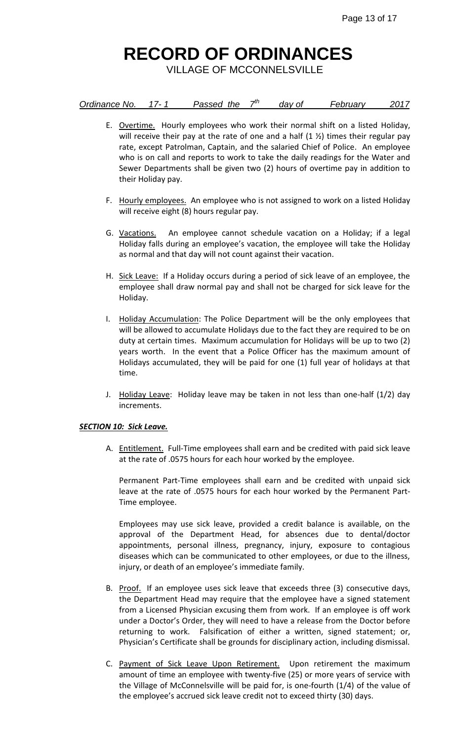VILLAGE OF MCCONNELSVILLE

| Ordinance No.<br>⇥<br>Passed the<br><b>February</b><br>dav of | 2017 |
|---------------------------------------------------------------|------|
|---------------------------------------------------------------|------|

- E. Overtime. Hourly employees who work their normal shift on a listed Holiday, will receive their pay at the rate of one and a half  $(1 \frac{1}{2})$  times their regular pay rate, except Patrolman, Captain, and the salaried Chief of Police. An employee who is on call and reports to work to take the daily readings for the Water and Sewer Departments shall be given two (2) hours of overtime pay in addition to their Holiday pay.
- F. Hourly employees. An employee who is not assigned to work on a listed Holiday will receive eight (8) hours regular pay.
- G. Vacations. An employee cannot schedule vacation on a Holiday; if a legal Holiday falls during an employee's vacation, the employee will take the Holiday as normal and that day will not count against their vacation.
- H. Sick Leave: If a Holiday occurs during a period of sick leave of an employee, the employee shall draw normal pay and shall not be charged for sick leave for the Holiday.
- I. Holiday Accumulation: The Police Department will be the only employees that will be allowed to accumulate Holidays due to the fact they are required to be on duty at certain times. Maximum accumulation for Holidays will be up to two (2) years worth. In the event that a Police Officer has the maximum amount of Holidays accumulated, they will be paid for one (1) full year of holidays at that time.
- J. Holiday Leave: Holiday leave may be taken in not less than one-half (1/2) day increments.

#### *SECTION 10: Sick Leave.*

A. Entitlement. Full-Time employees shall earn and be credited with paid sick leave at the rate of .0575 hours for each hour worked by the employee.

Permanent Part-Time employees shall earn and be credited with unpaid sick leave at the rate of .0575 hours for each hour worked by the Permanent Part-Time employee.

Employees may use sick leave, provided a credit balance is available, on the approval of the Department Head, for absences due to dental/doctor appointments, personal illness, pregnancy, injury, exposure to contagious diseases which can be communicated to other employees, or due to the illness, injury, or death of an employee's immediate family.

- B. Proof. If an employee uses sick leave that exceeds three (3) consecutive days, the Department Head may require that the employee have a signed statement from a Licensed Physician excusing them from work. If an employee is off work under a Doctor's Order, they will need to have a release from the Doctor before returning to work. Falsification of either a written, signed statement; or, Physician's Certificate shall be grounds for disciplinary action, including dismissal.
- C. Payment of Sick Leave Upon Retirement. Upon retirement the maximum amount of time an employee with twenty-five (25) or more years of service with the Village of McConnelsville will be paid for, is one-fourth (1/4) of the value of the employee's accrued sick leave credit not to exceed thirty (30) days.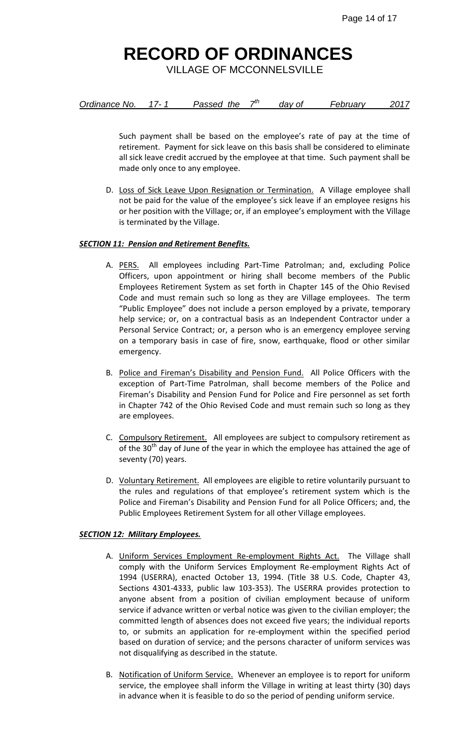VILLAGE OF MCCONNELSVILLE

| Ordinance No.<br>Passed the | dav of | Februarv | 2017 |
|-----------------------------|--------|----------|------|
|-----------------------------|--------|----------|------|

Such payment shall be based on the employee's rate of pay at the time of retirement. Payment for sick leave on this basis shall be considered to eliminate all sick leave credit accrued by the employee at that time. Such payment shall be made only once to any employee.

D. Loss of Sick Leave Upon Resignation or Termination. A Village employee shall not be paid for the value of the employee's sick leave if an employee resigns his or her position with the Village; or, if an employee's employment with the Village is terminated by the Village.

#### *SECTION 11: Pension and Retirement Benefits.*

- A. PERS. All employees including Part-Time Patrolman; and, excluding Police Officers, upon appointment or hiring shall become members of the Public Employees Retirement System as set forth in Chapter 145 of the Ohio Revised Code and must remain such so long as they are Village employees. The term "Public Employee" does not include a person employed by a private, temporary help service; or, on a contractual basis as an Independent Contractor under a Personal Service Contract; or, a person who is an emergency employee serving on a temporary basis in case of fire, snow, earthquake, flood or other similar emergency.
- B. Police and Fireman's Disability and Pension Fund. All Police Officers with the exception of Part-Time Patrolman, shall become members of the Police and Fireman's Disability and Pension Fund for Police and Fire personnel as set forth in Chapter 742 of the Ohio Revised Code and must remain such so long as they are employees.
- C. Compulsory Retirement. All employees are subject to compulsory retirement as of the 30<sup>th</sup> day of June of the year in which the employee has attained the age of seventy (70) years.
- D. Voluntary Retirement. All employees are eligible to retire voluntarily pursuant to the rules and regulations of that employee's retirement system which is the Police and Fireman's Disability and Pension Fund for all Police Officers; and, the Public Employees Retirement System for all other Village employees.

#### *SECTION 12: Military Employees.*

- A. Uniform Services Employment Re-employment Rights Act. The Village shall comply with the Uniform Services Employment Re-employment Rights Act of 1994 (USERRA), enacted October 13, 1994. (Title 38 U.S. Code, Chapter 43, Sections 4301-4333, public law 103-353). The USERRA provides protection to anyone absent from a position of civilian employment because of uniform service if advance written or verbal notice was given to the civilian employer; the committed length of absences does not exceed five years; the individual reports to, or submits an application for re-employment within the specified period based on duration of service; and the persons character of uniform services was not disqualifying as described in the statute.
- B. Notification of Uniform Service. Whenever an employee is to report for uniform service, the employee shall inform the Village in writing at least thirty (30) days in advance when it is feasible to do so the period of pending uniform service.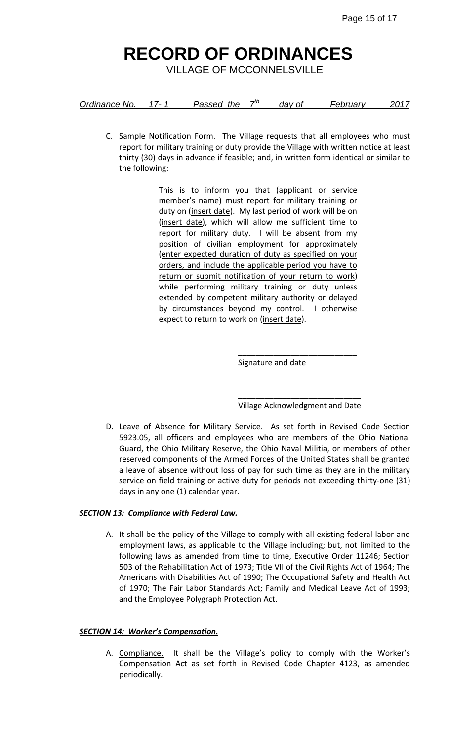VILLAGE OF MCCONNELSVILLE

| Ordinance No. |  | Passed the |  | dav of | February | 2017 |
|---------------|--|------------|--|--------|----------|------|
|---------------|--|------------|--|--------|----------|------|

C. Sample Notification Form. The Village requests that all employees who must report for military training or duty provide the Village with written notice at least thirty (30) days in advance if feasible; and, in written form identical or similar to the following:

> This is to inform you that (applicant or service member's name) must report for military training or duty on (insert date). My last period of work will be on (insert date), which will allow me sufficient time to report for military duty. I will be absent from my position of civilian employment for approximately (enter expected duration of duty as specified on your orders, and include the applicable period you have to return or submit notification of your return to work) while performing military training or duty unless extended by competent military authority or delayed by circumstances beyond my control. I otherwise expect to return to work on (insert date).

> > Signature and date

\_\_\_\_\_\_\_\_\_\_\_\_\_\_\_\_\_\_\_\_\_\_\_\_\_\_\_\_ Village Acknowledgment and Date

\_\_\_\_\_\_\_\_\_\_\_\_\_\_\_\_\_\_\_\_\_\_\_\_\_\_\_

D. Leave of Absence for Military Service. As set forth in Revised Code Section 5923.05, all officers and employees who are members of the Ohio National Guard, the Ohio Military Reserve, the Ohio Naval Militia, or members of other reserved components of the Armed Forces of the United States shall be granted a leave of absence without loss of pay for such time as they are in the military service on field training or active duty for periods not exceeding thirty-one (31) days in any one (1) calendar year.

### *SECTION 13: Compliance with Federal Law.*

A. It shall be the policy of the Village to comply with all existing federal labor and employment laws, as applicable to the Village including; but, not limited to the following laws as amended from time to time, Executive Order 11246; Section 503 of the Rehabilitation Act of 1973; Title VII of the Civil Rights Act of 1964; The Americans with Disabilities Act of 1990; The Occupational Safety and Health Act of 1970; The Fair Labor Standards Act; Family and Medical Leave Act of 1993; and the Employee Polygraph Protection Act.

#### *SECTION 14: Worker's Compensation.*

A. Compliance. It shall be the Village's policy to comply with the Worker's Compensation Act as set forth in Revised Code Chapter 4123, as amended periodically.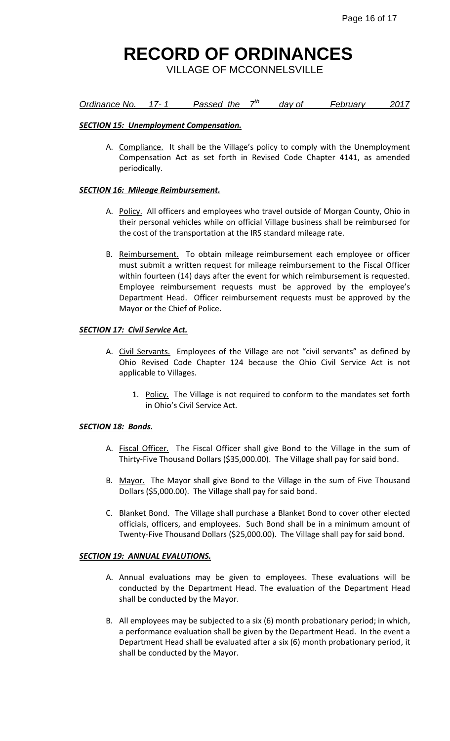VILLAGE OF MCCONNELSVILLE

#### *<u>Ordinance No.</u> 17-1* **Passed the**  $7<sup>th</sup>$  *day of February 2017*

#### *SECTION 15: Unemployment Compensation.*

A. Compliance. It shall be the Village's policy to comply with the Unemployment Compensation Act as set forth in Revised Code Chapter 4141, as amended periodically.

#### *SECTION 16: Mileage Reimbursement.*

- A. Policy. All officers and employees who travel outside of Morgan County, Ohio in their personal vehicles while on official Village business shall be reimbursed for the cost of the transportation at the IRS standard mileage rate.
- B. Reimbursement. To obtain mileage reimbursement each employee or officer must submit a written request for mileage reimbursement to the Fiscal Officer within fourteen (14) days after the event for which reimbursement is requested. Employee reimbursement requests must be approved by the employee's Department Head. Officer reimbursement requests must be approved by the Mayor or the Chief of Police.

#### *SECTION 17: Civil Service Act.*

- A. Civil Servants. Employees of the Village are not "civil servants" as defined by Ohio Revised Code Chapter 124 because the Ohio Civil Service Act is not applicable to Villages.
	- 1. Policy. The Village is not required to conform to the mandates set forth in Ohio's Civil Service Act.

#### *SECTION 18: Bonds.*

- A. Fiscal Officer. The Fiscal Officer shall give Bond to the Village in the sum of Thirty-Five Thousand Dollars (\$35,000.00). The Village shall pay for said bond.
- B. Mayor. The Mayor shall give Bond to the Village in the sum of Five Thousand Dollars (\$5,000.00). The Village shall pay for said bond.
- C. Blanket Bond. The Village shall purchase a Blanket Bond to cover other elected officials, officers, and employees. Such Bond shall be in a minimum amount of Twenty-Five Thousand Dollars (\$25,000.00). The Village shall pay for said bond.

#### *SECTION 19: ANNUAL EVALUTIONS.*

- A. Annual evaluations may be given to employees. These evaluations will be conducted by the Department Head. The evaluation of the Department Head shall be conducted by the Mayor.
- B. All employees may be subjected to a six (6) month probationary period; in which, a performance evaluation shall be given by the Department Head. In the event a Department Head shall be evaluated after a six (6) month probationary period, it shall be conducted by the Mayor.